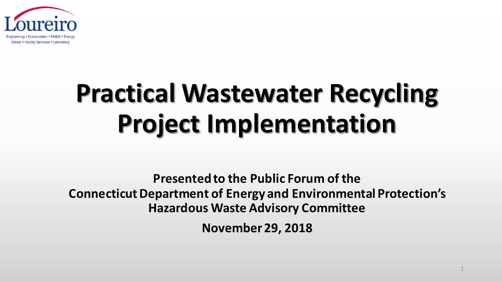

# **Practical Wastewater Recycling Project Implementation**

**Presented to the Public Forum of the Connecticut Department of Energy and Environmental Protection's Hazardous Waste Advisory Committee** 

**November 29, 2018**

1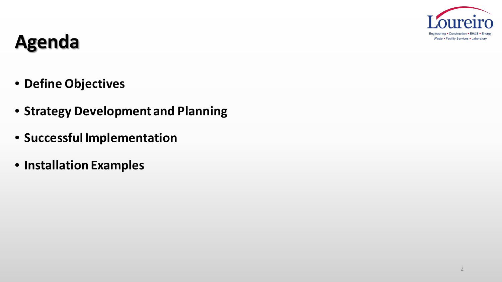

### **Agenda**

- **Define Objectives**
- **Strategy Development and Planning**
- **Successful Implementation**
- **Installation Examples**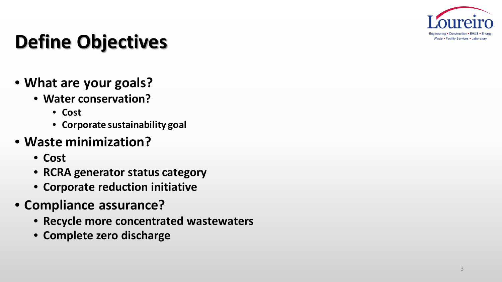

# **Define Objectives**

- **What are your goals?**
	- **Water conservation?**
		- **Cost**
		- **Corporate sustainability goal**

#### • **Waste minimization?**

- **Cost**
- **RCRA generator status category**
- **Corporate reduction initiative**
- **Compliance assurance?** 
	- **Recycle more concentrated wastewaters**
	- **Complete zero discharge**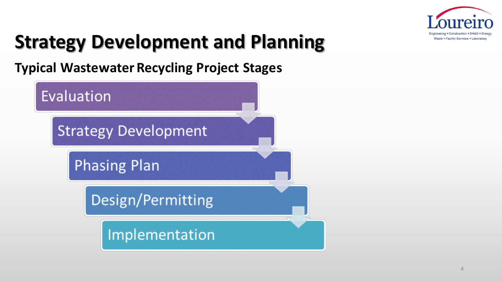

**Typical Wastewater Recycling Project Stages**

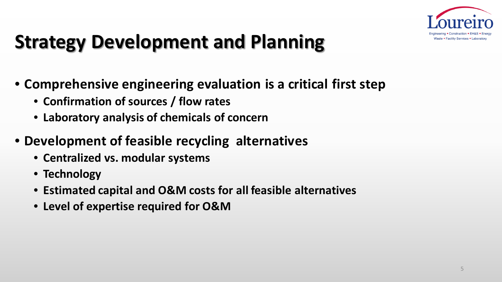

- **Comprehensive engineering evaluation is a critical first step** 
	- **Confirmation of sources / flow rates**
	- **Laboratory analysis of chemicals of concern**
- **Development of feasible recycling alternatives** 
	- **Centralized vs. modular systems**
	- **Technology**
	- **Estimated capital and O&M costs for all feasible alternatives**
	- **Level of expertise required for O&M**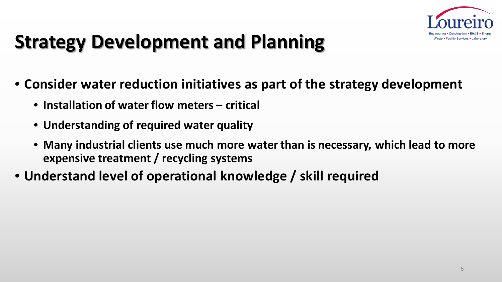

- **Consider water reduction initiatives as part of the strategy development** 
	- **Installation of water flow meters – critical**
	- **Understanding of required water quality**
	- **Many industrial clients use much more water than is necessary, which lead to more expensive treatment / recycling systems**
- **Understand level of operational knowledge / skill required**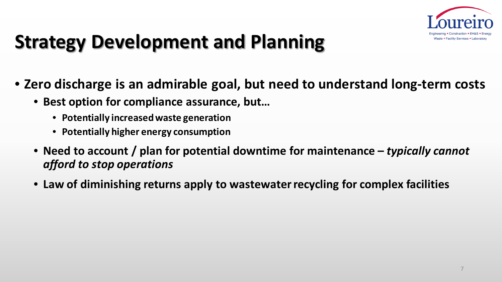

- **Zero discharge is an admirable goal, but need to understand long-term costs**
	- **Best option for compliance assurance, but…**
		- **Potentially increased waste generation**
		- **Potentially higher energy consumption**
	- **Need to account / plan for potential downtime for maintenance –** *typically cannot afford to stop operations*
	- **Law of diminishing returns apply to wastewater recycling for complex facilities**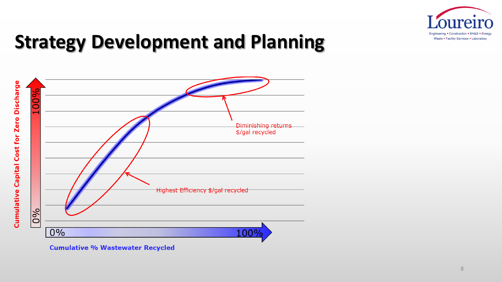



**Cumulative % Wastewater Recycled**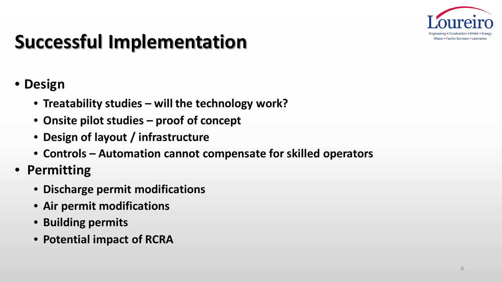

# **Successful Implementation**

- **Design**
	- **Treatability studies – will the technology work?**
	- **Onsite pilot studies – proof of concept**
	- **Design of layout / infrastructure**
	- **Controls – Automation cannot compensate for skilled operators**
- **Permitting**
	- **Discharge permit modifications**
	- **Air permit modifications**
	- **Building permits**
	- **Potential impact of RCRA**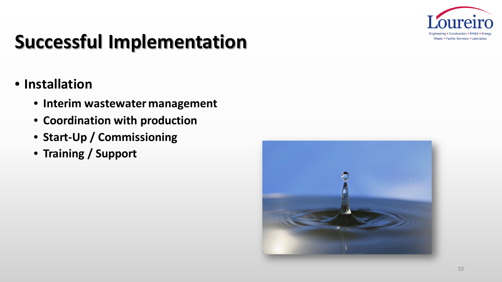

# **Successful Implementation**

- **Installation**
	- **Interim wastewater management**
	- **Coordination with production**
	- **Start-Up / Commissioning**
	- **Training / Support**

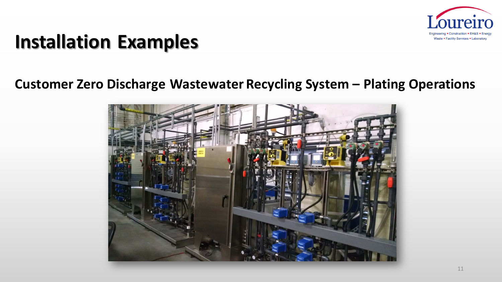

#### **Customer Zero Discharge Wastewater Recycling System – Plating Operations**

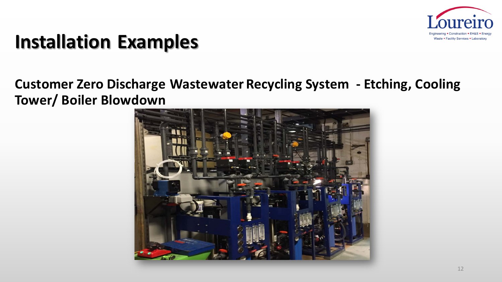

#### **Customer Zero Discharge Wastewater Recycling System - Etching, Cooling Tower/ Boiler Blowdown**

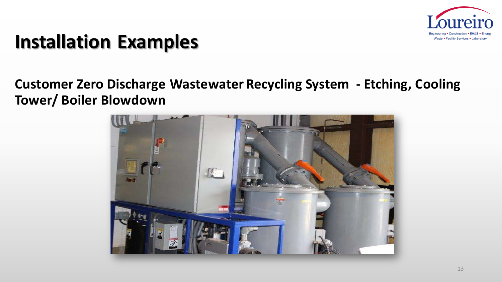

#### **Customer Zero Discharge Wastewater Recycling System - Etching, Cooling Tower/ Boiler Blowdown**

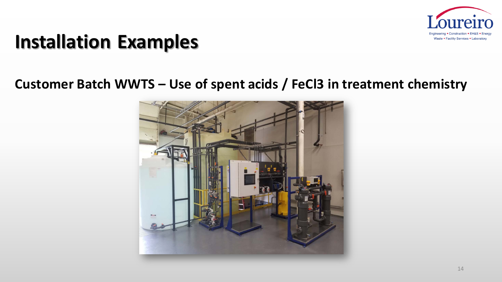

#### **Customer Batch WWTS – Use of spent acids / FeCl3 in treatment chemistry**